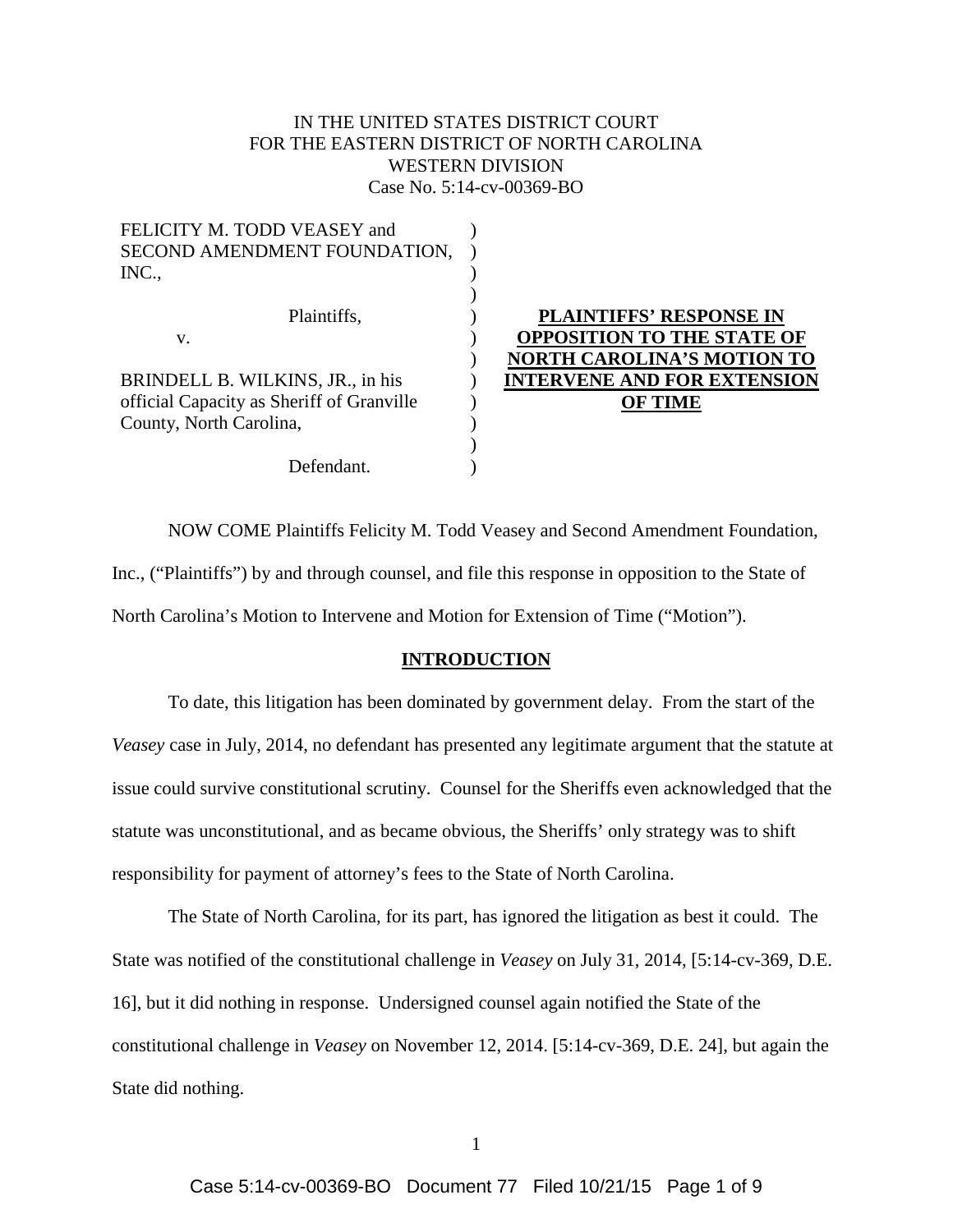# IN THE UNITED STATES DISTRICT COURT FOR THE EASTERN DISTRICT OF NORTH CAROLINA WESTERN DIVISION Case No. 5:14-cv-00369-BO

**TENSION** 

| FELICITY M. TODD VEASEY and               |                                    |
|-------------------------------------------|------------------------------------|
| SECOND AMENDMENT FOUNDATION,              |                                    |
| INC.,                                     |                                    |
|                                           |                                    |
| Plaintiffs,                               | <b>PLAINTIFFS' RESPONSE IN</b>     |
| V.                                        | <b>OPPOSITION TO THE STATE OF</b>  |
|                                           | <b>NORTH CAROLINA'S MOTION TO</b>  |
| BRINDELL B. WILKINS, JR., in his          | <b>INTERVENE AND FOR EXTENSION</b> |
| official Capacity as Sheriff of Granville | <b>OF TIME</b>                     |
| County, North Carolina,                   |                                    |
|                                           |                                    |
| Defendant.                                |                                    |

NOW COME Plaintiffs Felicity M. Todd Veasey and Second Amendment Foundation, Inc., ("Plaintiffs") by and through counsel, and file this response in opposition to the State of North Carolina's Motion to Intervene and Motion for Extension of Time ("Motion").

### **INTRODUCTION**

To date, this litigation has been dominated by government delay. From the start of the *Veasey* case in July, 2014, no defendant has presented any legitimate argument that the statute at issue could survive constitutional scrutiny. Counsel for the Sheriffs even acknowledged that the statute was unconstitutional, and as became obvious, the Sheriffs' only strategy was to shift responsibility for payment of attorney's fees to the State of North Carolina.

The State of North Carolina, for its part, has ignored the litigation as best it could. The State was notified of the constitutional challenge in *Veasey* on July 31, 2014, [5:14-cv-369, D.E. 16], but it did nothing in response. Undersigned counsel again notified the State of the constitutional challenge in *Veasey* on November 12, 2014. [5:14-cv-369, D.E. 24], but again the State did nothing.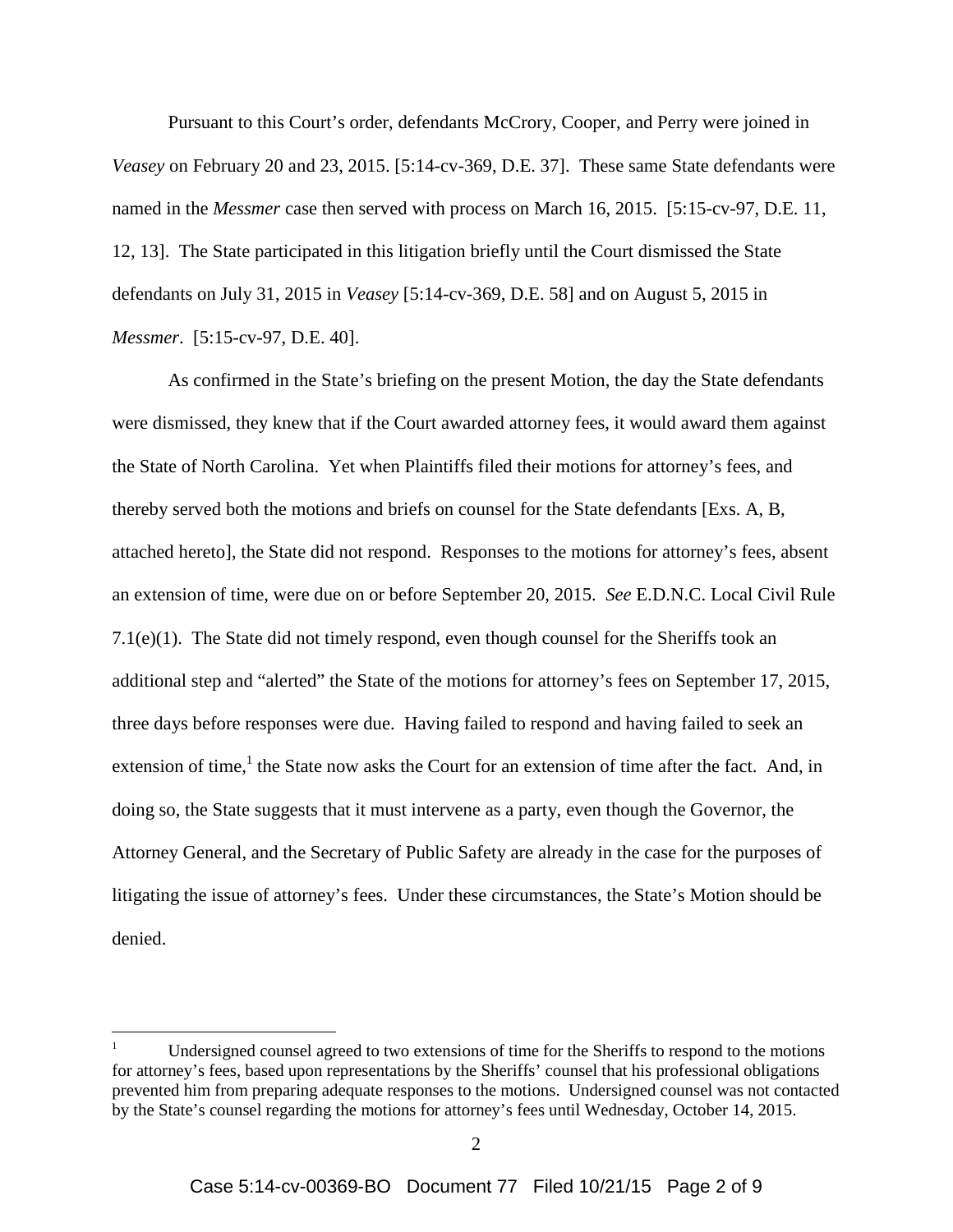Pursuant to this Court's order, defendants McCrory, Cooper, and Perry were joined in *Veasey* on February 20 and 23, 2015. [5:14-cv-369, D.E. 37]. These same State defendants were named in the *Messmer* case then served with process on March 16, 2015. [5:15-cv-97, D.E. 11, 12, 13]. The State participated in this litigation briefly until the Court dismissed the State defendants on July 31, 2015 in *Veasey* [5:14-cv-369, D.E. 58] and on August 5, 2015 in *Messmer*. [5:15-cv-97, D.E. 40].

As confirmed in the State's briefing on the present Motion, the day the State defendants were dismissed, they knew that if the Court awarded attorney fees, it would award them against the State of North Carolina. Yet when Plaintiffs filed their motions for attorney's fees, and thereby served both the motions and briefs on counsel for the State defendants [Exs. A, B, attached hereto], the State did not respond. Responses to the motions for attorney's fees, absent an extension of time, were due on or before September 20, 2015. *See* E.D.N.C. Local Civil Rule 7.1(e)(1). The State did not timely respond, even though counsel for the Sheriffs took an additional step and "alerted" the State of the motions for attorney's fees on September 17, 2015, three days before responses were due. Having failed to respond and having failed to seek an extension of time,<sup>1</sup> the State now asks the Court for an extension of time after the fact. And, in doing so, the State suggests that it must intervene as a party, even though the Governor, the Attorney General, and the Secretary of Public Safety are already in the case for the purposes of litigating the issue of attorney's fees. Under these circumstances, the State's Motion should be denied.

<sup>1</sup> Undersigned counsel agreed to two extensions of time for the Sheriffs to respond to the motions for attorney's fees, based upon representations by the Sheriffs' counsel that his professional obligations prevented him from preparing adequate responses to the motions. Undersigned counsel was not contacted by the State's counsel regarding the motions for attorney's fees until Wednesday, October 14, 2015.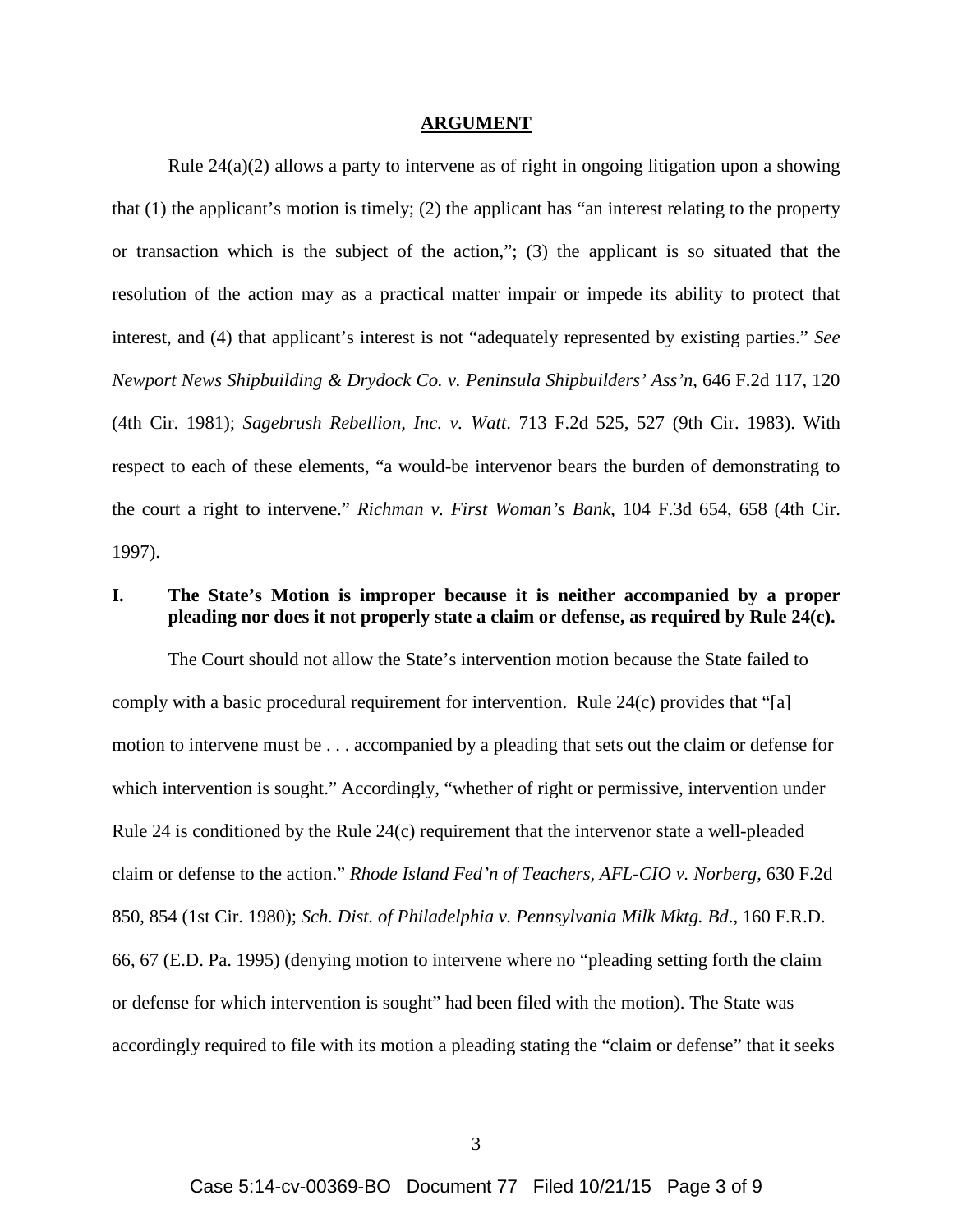#### **ARGUMENT**

Rule 24(a)(2) allows a party to intervene as of right in ongoing litigation upon a showing that (1) the applicant's motion is timely; (2) the applicant has "an interest relating to the property or transaction which is the subject of the action,"; (3) the applicant is so situated that the resolution of the action may as a practical matter impair or impede its ability to protect that interest, and (4) that applicant's interest is not "adequately represented by existing parties." *See Newport News Shipbuilding & Drydock Co. v. Peninsula Shipbuilders' Ass'n*, 646 F.2d 117, 120 (4th Cir. 1981); *Sagebrush Rebellion, Inc. v. Watt*. 713 F.2d 525, 527 (9th Cir. 1983). With respect to each of these elements, "a would-be intervenor bears the burden of demonstrating to the court a right to intervene." *Richman v. First Woman's Bank*, 104 F.3d 654, 658 (4th Cir. 1997).

## **I. The State's Motion is improper because it is neither accompanied by a proper pleading nor does it not properly state a claim or defense, as required by Rule 24(c).**

The Court should not allow the State's intervention motion because the State failed to comply with a basic procedural requirement for intervention. Rule 24(c) provides that "[a] motion to intervene must be . . . accompanied by a pleading that sets out the claim or defense for which intervention is sought." Accordingly, "whether of right or permissive, intervention under Rule 24 is conditioned by the Rule 24(c) requirement that the intervenor state a well-pleaded claim or defense to the action." *Rhode Island Fed'n of Teachers, AFL-CIO v. Norberg*, 630 F.2d 850, 854 (1st Cir. 1980); *Sch. Dist. of Philadelphia v. Pennsylvania Milk Mktg. Bd*., 160 F.R.D. 66, 67 (E.D. Pa. 1995) (denying motion to intervene where no "pleading setting forth the claim or defense for which intervention is sought" had been filed with the motion). The State was accordingly required to file with its motion a pleading stating the "claim or defense" that it seeks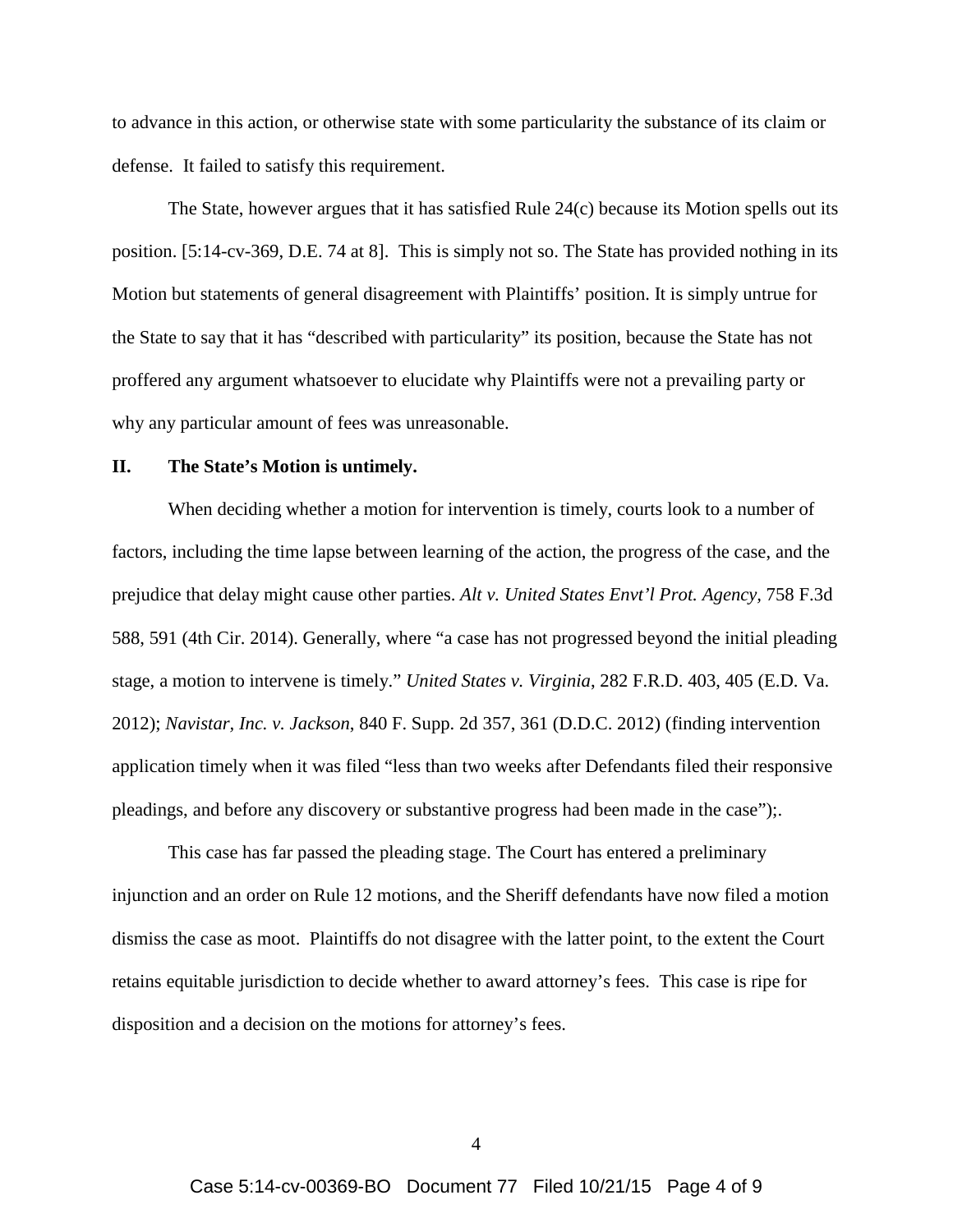to advance in this action, or otherwise state with some particularity the substance of its claim or defense. It failed to satisfy this requirement.

The State, however argues that it has satisfied Rule 24(c) because its Motion spells out its position. [5:14-cv-369, D.E. 74 at 8]. This is simply not so. The State has provided nothing in its Motion but statements of general disagreement with Plaintiffs' position. It is simply untrue for the State to say that it has "described with particularity" its position, because the State has not proffered any argument whatsoever to elucidate why Plaintiffs were not a prevailing party or why any particular amount of fees was unreasonable.

### **II. The State's Motion is untimely.**

When deciding whether a motion for intervention is timely, courts look to a number of factors, including the time lapse between learning of the action, the progress of the case, and the prejudice that delay might cause other parties. *Alt v. United States Envt'l Prot. Agency,* 758 F.3d 588, 591 (4th Cir. 2014). Generally, where "a case has not progressed beyond the initial pleading stage, a motion to intervene is timely." *United States v. Virginia*, 282 F.R.D. 403, 405 (E.D. Va. 2012); *Navistar, Inc. v. Jackson*, 840 F. Supp. 2d 357, 361 (D.D.C. 2012) (finding intervention application timely when it was filed "less than two weeks after Defendants filed their responsive pleadings, and before any discovery or substantive progress had been made in the case");.

This case has far passed the pleading stage. The Court has entered a preliminary injunction and an order on Rule 12 motions, and the Sheriff defendants have now filed a motion dismiss the case as moot. Plaintiffs do not disagree with the latter point, to the extent the Court retains equitable jurisdiction to decide whether to award attorney's fees. This case is ripe for disposition and a decision on the motions for attorney's fees.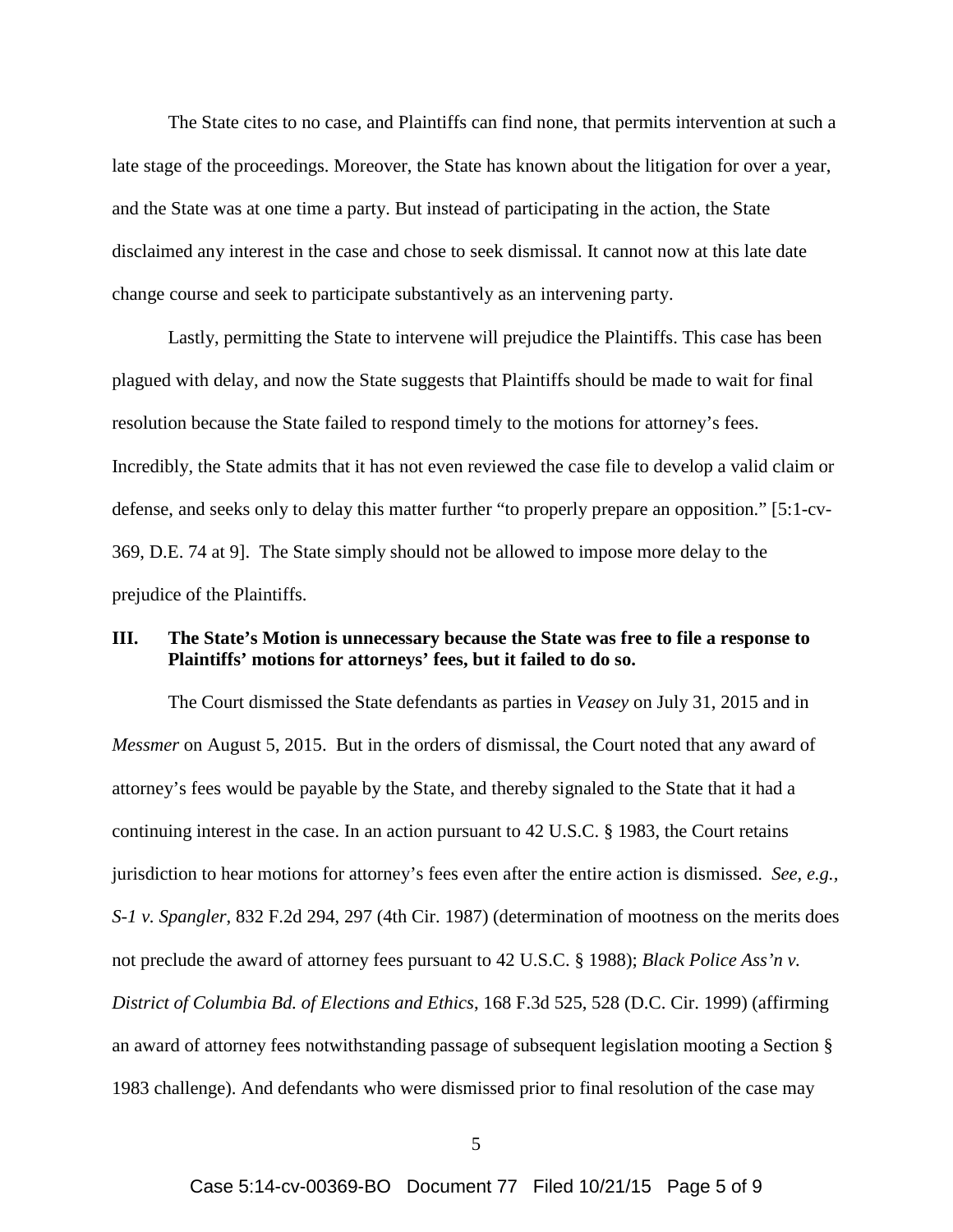The State cites to no case, and Plaintiffs can find none, that permits intervention at such a late stage of the proceedings. Moreover, the State has known about the litigation for over a year, and the State was at one time a party. But instead of participating in the action, the State disclaimed any interest in the case and chose to seek dismissal. It cannot now at this late date change course and seek to participate substantively as an intervening party.

Lastly, permitting the State to intervene will prejudice the Plaintiffs. This case has been plagued with delay, and now the State suggests that Plaintiffs should be made to wait for final resolution because the State failed to respond timely to the motions for attorney's fees. Incredibly, the State admits that it has not even reviewed the case file to develop a valid claim or defense, and seeks only to delay this matter further "to properly prepare an opposition." [5:1-cv-369, D.E. 74 at 9]. The State simply should not be allowed to impose more delay to the prejudice of the Plaintiffs.

## **III. The State's Motion is unnecessary because the State was free to file a response to Plaintiffs' motions for attorneys' fees, but it failed to do so.**

The Court dismissed the State defendants as parties in *Veasey* on July 31, 2015 and in *Messmer* on August 5, 2015. But in the orders of dismissal, the Court noted that any award of attorney's fees would be payable by the State, and thereby signaled to the State that it had a continuing interest in the case. In an action pursuant to 42 U.S.C. § 1983, the Court retains jurisdiction to hear motions for attorney's fees even after the entire action is dismissed. *See, e.g., S-1 v. Spangler*, 832 F.2d 294, 297 (4th Cir. 1987) (determination of mootness on the merits does not preclude the award of attorney fees pursuant to 42 U.S.C. § 1988); *Black Police Ass'n v. District of Columbia Bd. of Elections and Ethics*, 168 F.3d 525, 528 (D.C. Cir. 1999) (affirming an award of attorney fees notwithstanding passage of subsequent legislation mooting a Section § 1983 challenge). And defendants who were dismissed prior to final resolution of the case may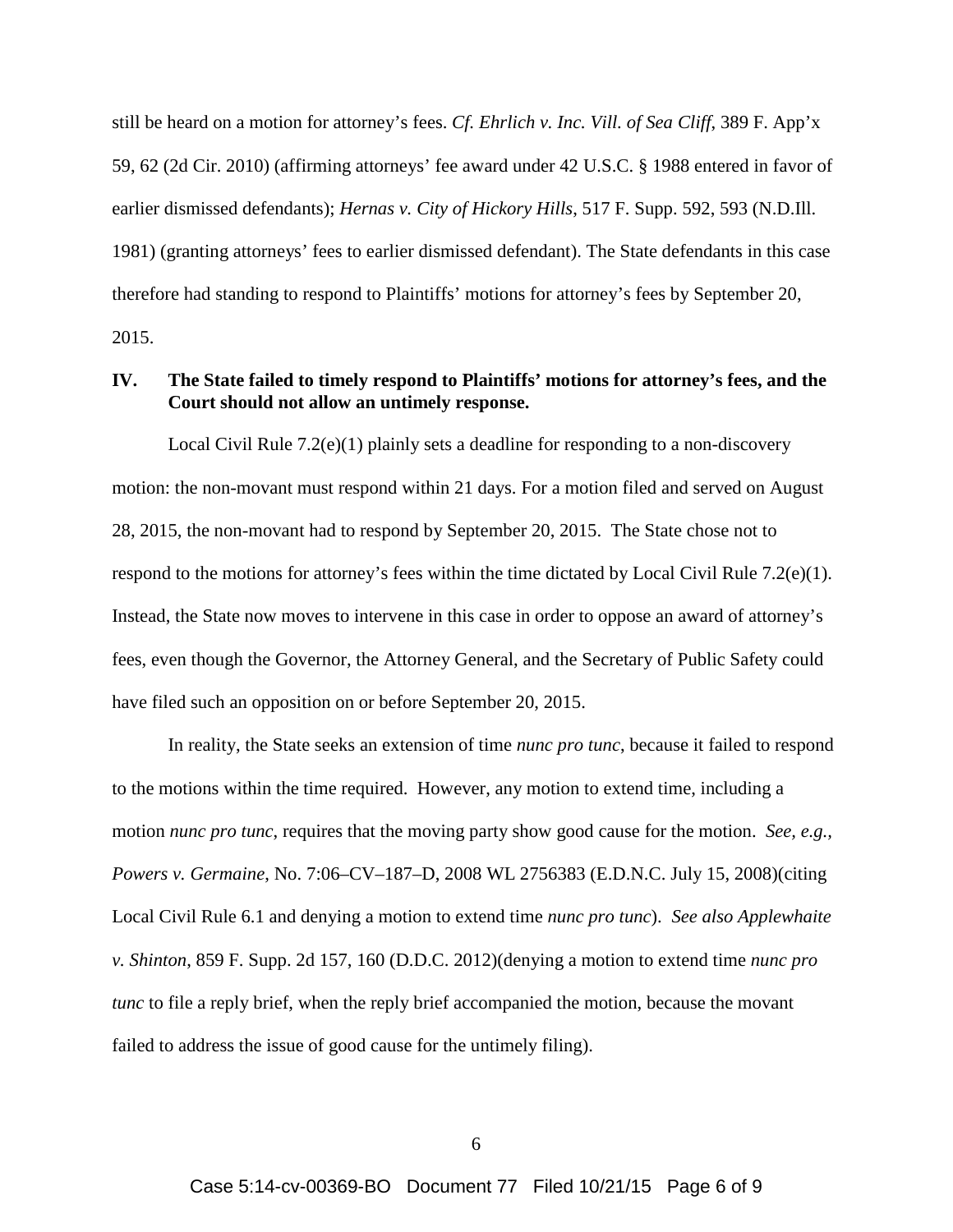still be heard on a motion for attorney's fees. *Cf. Ehrlich v. Inc. Vill. of Sea Cliff*, 389 F. App'x 59, 62 (2d Cir. 2010) (affirming attorneys' fee award under 42 U.S.C. § 1988 entered in favor of earlier dismissed defendants); *Hernas v. City of Hickory Hills*, 517 F. Supp. 592, 593 (N.D.Ill. 1981) (granting attorneys' fees to earlier dismissed defendant). The State defendants in this case therefore had standing to respond to Plaintiffs' motions for attorney's fees by September 20, 2015.

## **IV. The State failed to timely respond to Plaintiffs' motions for attorney's fees, and the Court should not allow an untimely response.**

Local Civil Rule 7.2(e)(1) plainly sets a deadline for responding to a non-discovery motion: the non-movant must respond within 21 days. For a motion filed and served on August 28, 2015, the non-movant had to respond by September 20, 2015. The State chose not to respond to the motions for attorney's fees within the time dictated by Local Civil Rule 7.2(e)(1). Instead, the State now moves to intervene in this case in order to oppose an award of attorney's fees, even though the Governor, the Attorney General, and the Secretary of Public Safety could have filed such an opposition on or before September 20, 2015.

In reality, the State seeks an extension of time *nunc pro tunc*, because it failed to respond to the motions within the time required. However, any motion to extend time, including a motion *nunc pro tunc*, requires that the moving party show good cause for the motion. *See, e.g., Powers v. Germaine*, No. 7:06–CV–187–D, 2008 WL 2756383 (E.D.N.C. July 15, 2008)(citing Local Civil Rule 6.1 and denying a motion to extend time *nunc pro tunc*). *See also Applewhaite v. Shinton*, 859 F. Supp. 2d 157, 160 (D.D.C. 2012)(denying a motion to extend time *nunc pro tunc* to file a reply brief, when the reply brief accompanied the motion, because the movant failed to address the issue of good cause for the untimely filing).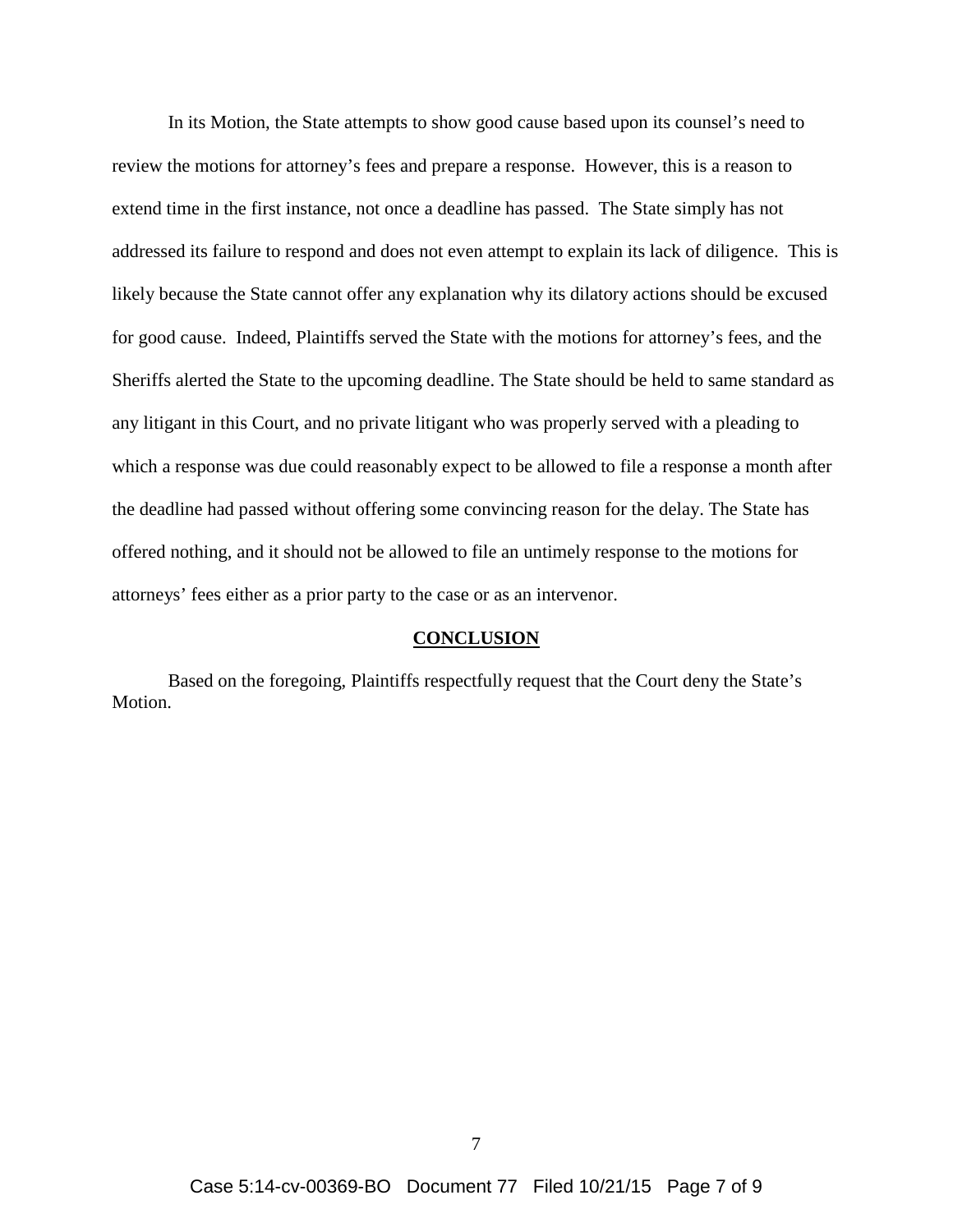In its Motion, the State attempts to show good cause based upon its counsel's need to review the motions for attorney's fees and prepare a response. However, this is a reason to extend time in the first instance, not once a deadline has passed. The State simply has not addressed its failure to respond and does not even attempt to explain its lack of diligence. This is likely because the State cannot offer any explanation why its dilatory actions should be excused for good cause. Indeed, Plaintiffs served the State with the motions for attorney's fees, and the Sheriffs alerted the State to the upcoming deadline. The State should be held to same standard as any litigant in this Court, and no private litigant who was properly served with a pleading to which a response was due could reasonably expect to be allowed to file a response a month after the deadline had passed without offering some convincing reason for the delay. The State has offered nothing, and it should not be allowed to file an untimely response to the motions for attorneys' fees either as a prior party to the case or as an intervenor.

#### **CONCLUSION**

Based on the foregoing, Plaintiffs respectfully request that the Court deny the State's Motion.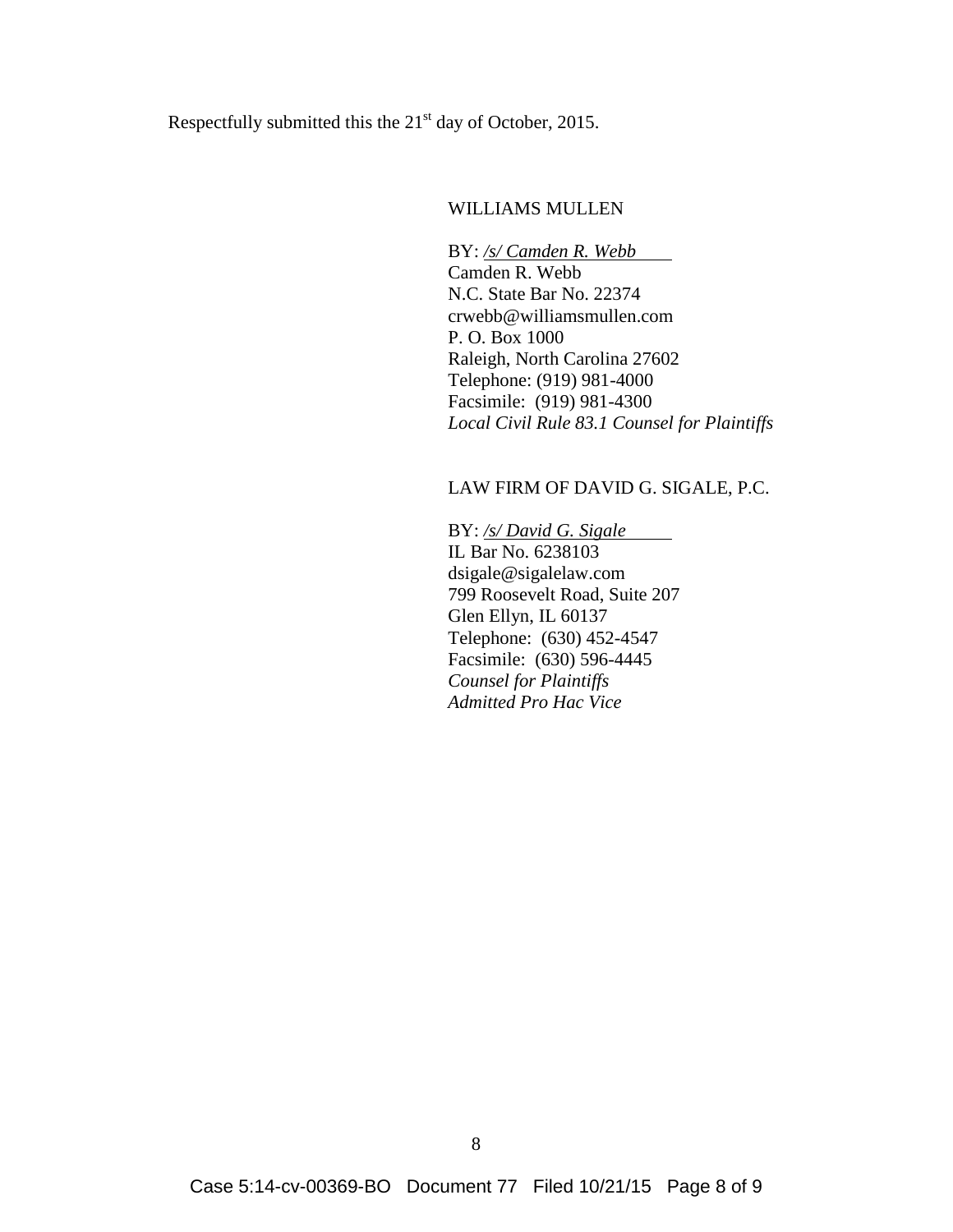Respectfully submitted this the  $21<sup>st</sup>$  day of October, 2015.

## WILLIAMS MULLEN

BY: */s/ Camden R. Webb* Camden R. Webb N.C. State Bar No. 22374 crwebb@williamsmullen.com P. O. Box 1000 Raleigh, North Carolina 27602 Telephone: (919) 981-4000 Facsimile: (919) 981-4300 *Local Civil Rule 83.1 Counsel for Plaintiffs*

## LAW FIRM OF DAVID G. SIGALE, P.C.

BY: */s/ David G. Sigale* IL Bar No. 6238103 dsigale@sigalelaw.com 799 Roosevelt Road, Suite 207 Glen Ellyn, IL 60137 Telephone: (630) 452-4547 Facsimile: (630) 596-4445 *Counsel for Plaintiffs Admitted Pro Hac Vice*